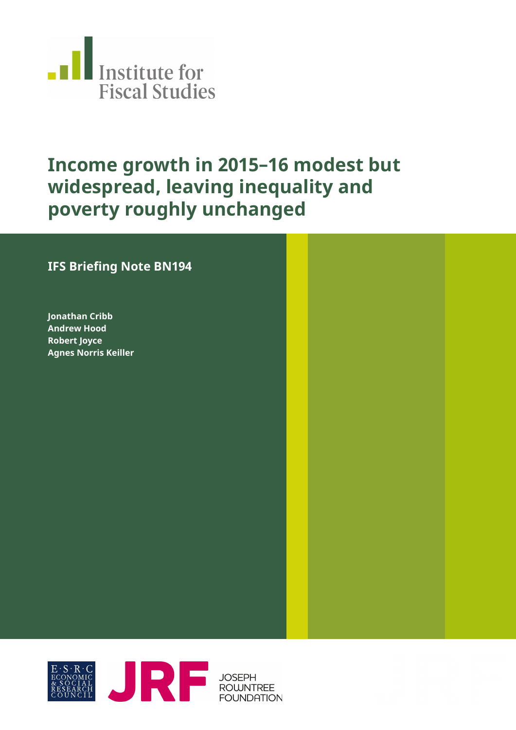

# **Income growth in 2015–16 modest but widespread, leaving inequality and poverty roughly unchanged**

#### **IFS Briefing Note BN194**

**Jonathan Cribb Andrew Hood Robert Joyce Agnes Norris Keiller**

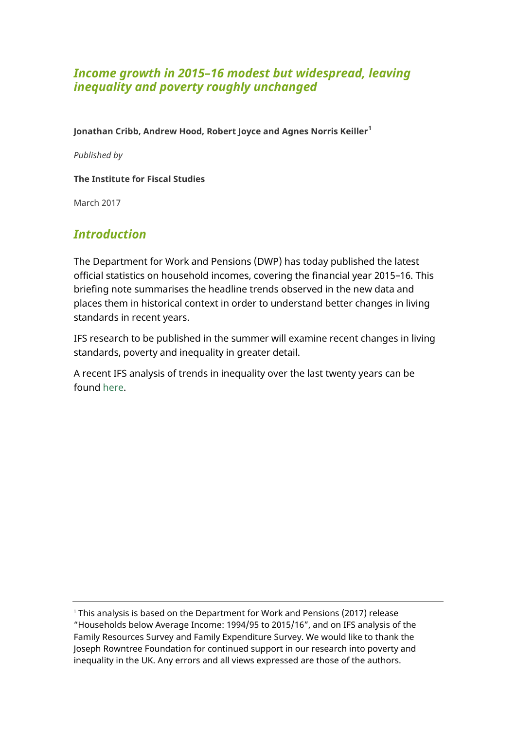#### *Income growth in 2015–16 modest but widespread, leaving inequality and poverty roughly unchanged*

**Jonathan Cribb, Andrew Hood, Robert Joyce and Agnes Norris Keiller<sup>1</sup>**

*Published by*

**The Institute for Fiscal Studies**

March 2017

## *Introduction*

The Department for Work and Pensions (DWP) has today published the latest official statistics on household incomes, covering the financial year 2015–16. This briefing note summarises the headline trends observed in the new data and places them in historical context in order to understand better changes in living standards in recent years.

IFS research to be published in the summer will examine recent changes in living standards, poverty and inequality in greater detail.

A recent IFS analysis of trends in inequality over the last twenty years can be found [here.](https://www.ifs.org.uk/publications/8849)

<sup>1</sup> This analysis is based on the Department for Work and Pensions (2017) release "Households below Average Income: 1994/95 to 2015/16", and on IFS analysis of the Family Resources Survey and Family Expenditure Survey. We would like to thank the Joseph Rowntree Foundation for continued support in our research into poverty and inequality in the UK. Any errors and all views expressed are those of the authors.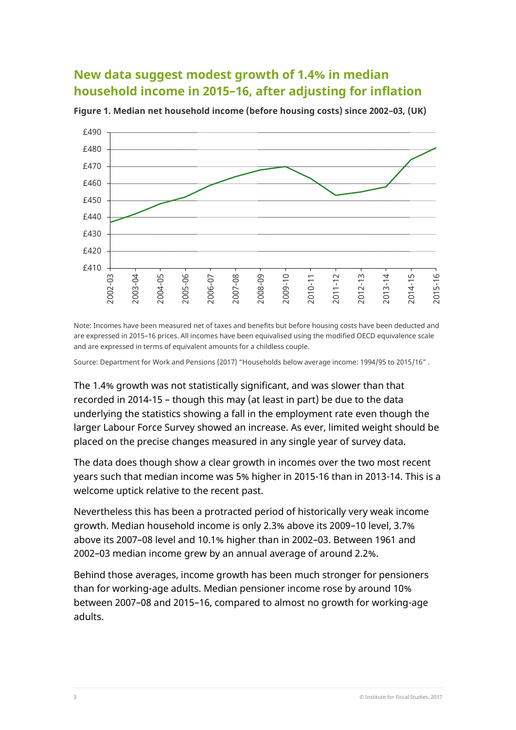## **New data suggest modest growth of 1.4% in median household income in 2015–16, after adjusting for inflation**



**Figure 1. Median net household income (before housing costs) since 2002–03, (UK)**

Note: Incomes have been measured net of taxes and benefits but before housing costs have been deducted and are expressed in 2015–16 prices. All incomes have been equivalised using the modified OECD equivalence scale and are expressed in terms of equivalent amounts for a childless couple.

Source: Department for Work and Pensions (2017) "Households below average income: 1994/95 to 2015/16" .

The 1.4% growth was not statistically significant, and was slower than that recorded in 2014-15 – though this may (at least in part) be due to the data underlying the statistics showing a fall in the employment rate even though the larger Labour Force Survey showed an increase. As ever, limited weight should be placed on the precise changes measured in any single year of survey data.

The data does though show a clear growth in incomes over the two most recent years such that median income was 5% higher in 2015-16 than in 2013-14. This is a welcome uptick relative to the recent past.

Nevertheless this has been a protracted period of historically very weak income growth. Median household income is only 2.3% above its 2009–10 level, 3.7% above its 2007–08 level and 10.1% higher than in 2002–03. Between 1961 and 2002–03 median income grew by an annual average of around 2.2%.

Behind those averages, income growth has been much stronger for pensioners than for working-age adults. Median pensioner income rose by around 10% between 2007–08 and 2015–16, compared to almost no growth for working-age adults.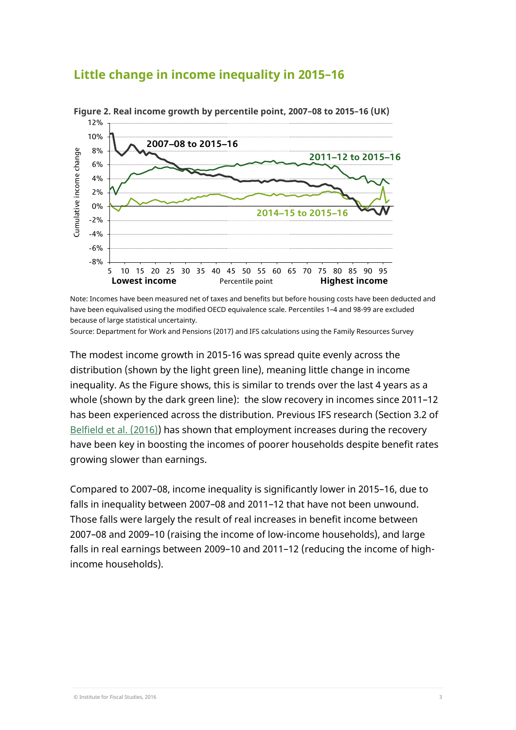#### **Little change in income inequality in 2015–16**



**Figure 2. Real income growth by percentile point, 2007–08 to 2015–16 (UK)** 

Note: Incomes have been measured net of taxes and benefits but before housing costs have been deducted and have been equivalised using the modified OECD equivalence scale. Percentiles 1–4 and 98-99 are excluded because of large statistical uncertainty.

Source: Department for Work and Pensions (2017) and IFS calculations using the Family Resources Survey

The modest income growth in 2015-16 was spread quite evenly across the distribution (shown by the light green line), meaning little change in income inequality. As the Figure shows, this is similar to trends over the last 4 years as a whole (shown by the dark green line): the slow recovery in incomes since 2011–12 has been experienced across the distribution. Previous IFS research (Section 3.2 of [Belfield et al.](https://www.ifs.org.uk/publications/8371) (2016)) has shown that employment increases during the recovery have been key in boosting the incomes of poorer households despite benefit rates growing slower than earnings.

Compared to 2007–08, income inequality is significantly lower in 2015–16, due to falls in inequality between 2007–08 and 2011–12 that have not been unwound. Those falls were largely the result of real increases in benefit income between 2007–08 and 2009–10 (raising the income of low-income households), and large falls in real earnings between 2009–10 and 2011–12 (reducing the income of highincome households).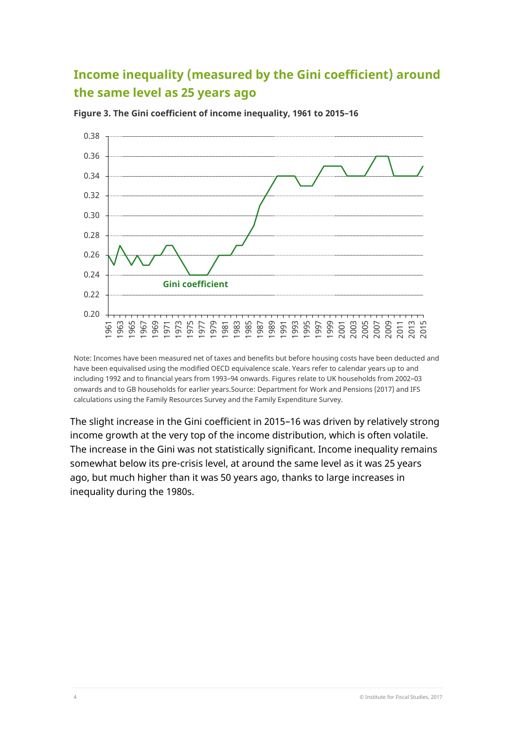# **Income inequality (measured by the Gini coefficient) around the same level as 25 years ago**



**Figure 3. The Gini coefficient of income inequality, 1961 to 2015–16**

Note: Incomes have been measured net of taxes and benefits but before housing costs have been deducted and have been equivalised using the modified OECD equivalence scale. Years refer to calendar years up to and including 1992 and to financial years from 1993–94 onwards. Figures relate to UK households from 2002–03 onwards and to GB households for earlier years.Source: Department for Work and Pensions (2017) and IFS calculations using the Family Resources Survey and the Family Expenditure Survey.

The slight increase in the Gini coefficient in 2015–16 was driven by relatively strong income growth at the very top of the income distribution, which is often volatile. The increase in the Gini was not statistically significant. Income inequality remains somewhat below its pre-crisis level, at around the same level as it was 25 years ago, but much higher than it was 50 years ago, thanks to large increases in inequality during the 1980s.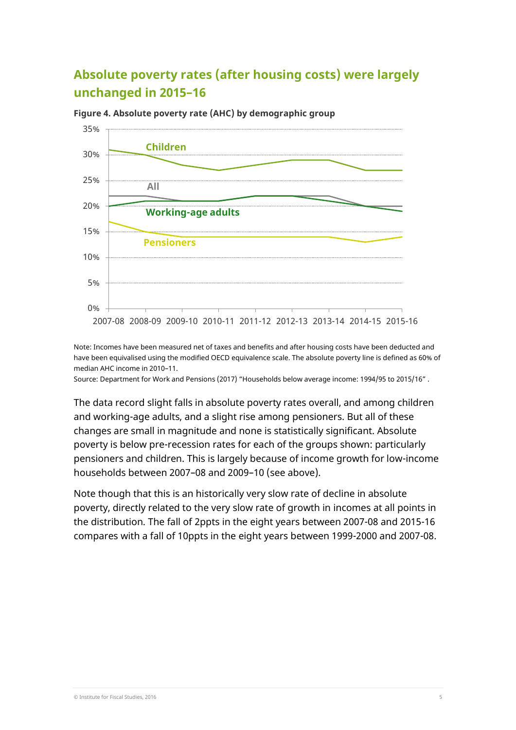## **Absolute poverty rates (after housing costs) were largely unchanged in 2015–16**



**Figure 4. Absolute poverty rate (AHC) by demographic group**

Note: Incomes have been measured net of taxes and benefits and after housing costs have been deducted and have been equivalised using the modified OECD equivalence scale. The absolute poverty line is defined as 60% of median AHC income in 2010–11.

Source: Department for Work and Pensions (2017) "Households below average income: 1994/95 to 2015/16" .

The data record slight falls in absolute poverty rates overall, and among children and working-age adults, and a slight rise among pensioners. But all of these changes are small in magnitude and none is statistically significant. Absolute poverty is below pre-recession rates for each of the groups shown: particularly pensioners and children. This is largely because of income growth for low-income households between 2007–08 and 2009–10 (see above).

Note though that this is an historically very slow rate of decline in absolute poverty, directly related to the very slow rate of growth in incomes at all points in the distribution. The fall of 2ppts in the eight years between 2007-08 and 2015-16 compares with a fall of 10ppts in the eight years between 1999-2000 and 2007-08.